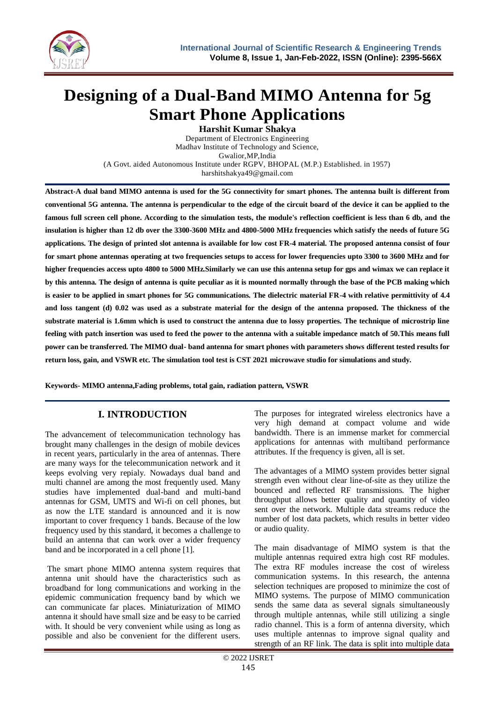

# **Designing of a Dual-Band MIMO Antenna for 5g Smart Phone Applications**

**Harshit Kumar Shakya** Department of Electronics Engineering Madhav Institute of Technology and Science, Gwalior,MP,India (A Govt. aided Autonomous Institute under RGPV, BHOPAL (M.P.) Established. in 1957) harshitshakya49@gmail.com

**Abstract-A dual band MIMO antenna is used for the 5G connectivity for smart phones. The antenna built is different from conventional 5G antenna. The antenna is perpendicular to the edge of the circuit board of the device it can be applied to the famous full screen cell phone. According to the simulation tests, the module's reflection coefficient is less than 6 db, and the insulation is higher than 12 db over the 3300-3600 MHz and 4800-5000 MHz frequencies which satisfy the needs of future 5G applications. The design of printed slot antenna is available for low cost FR-4 material. The proposed antenna consist of four for smart phone antennas operating at two frequencies setups to access for lower frequencies upto 3300 to 3600 MHz and for higher frequencies access upto 4800 to 5000 MHz.Similarly we can use this antenna setup for gps and wimax we can replace it by this antenna. The design of antenna is quite peculiar as it is mounted normally through the base of the PCB making which is easier to be applied in smart phones for 5G communications. The dielectric material FR-4 with relative permittivity of 4.4**  and loss tangent (d) 0.02 was used as a substrate material for the design of the antenna proposed. The thickness of the **substrate material is 1.6mm which is used to construct the antenna due to lossy properties. The technique of microstrip line feeling with patch insertion was used to feed the power to the antenna with a suitable impedance match of 50.This means full power can be transferred. The MIMO dual- band antenna for smart phones with parameters shows different tested results for return loss, gain, and VSWR etc. The simulation tool test is CST 2021 microwave studio for simulations and study.**

**Keywords- MIMO antenna,Fading problems, total gain, radiation pattern, VSWR**

# **I. INTRODUCTION**

The advancement of telecommunication technology has brought many challenges in the design of mobile devices in recent years, particularly in the area of antennas. There are many ways for the telecommunication network and it keeps evolving very repialy. Nowadays dual band and multi channel are among the most frequently used. Many studies have implemented dual-band and multi-band antennas for GSM, UMTS and Wi-fi on cell phones, but as now the LTE standard is announced and it is now important to cover frequency 1 bands. Because of the low frequency used by this standard, it becomes a challenge to build an antenna that can work over a wider frequency band and be incorporated in a cell phone [1].

The smart phone MIMO antenna system requires that antenna unit should have the characteristics such as broadband for long communications and working in the epidemic communication frequency band by which we can communicate far places. Miniaturization of MIMO antenna it should have small size and be easy to be carried with. It should be very convenient while using as long as possible and also be convenient for the different users.

The purposes for integrated wireless electronics have a very high demand at compact volume and wide bandwidth. There is an immense market for commercial applications for antennas with multiband performance attributes. If the frequency is given, all is set.

The advantages of a MIMO system provides better signal strength even without clear line-of-site as they utilize the bounced and reflected RF transmissions. The higher throughput allows better quality and quantity of video sent over the network. Multiple data streams reduce the number of lost data packets, which results in better video or audio quality.

The main disadvantage of MIMO system is that the multiple antennas required extra high cost RF modules. The extra RF modules increase the cost of wireless communication systems. In this research, the antenna selection techniques are proposed to minimize the cost of MIMO systems. The purpose of MIMO communication sends the same data as several signals simultaneously through multiple antennas, while still utilizing a single radio channel. This is a form of antenna diversity, which uses multiple antennas to improve signal quality and strength of an RF link. The data is split into multiple data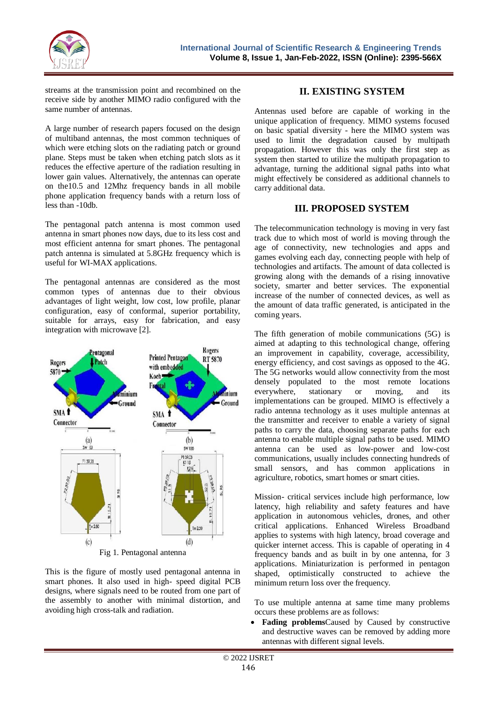

streams at the transmission point and recombined on the receive side by another MIMO radio configured with the same number of antennas.

A large number of research papers focused on the design of multiband antennas, the most common techniques of which were etching slots on the radiating patch or ground plane. Steps must be taken when etching patch slots as it reduces the effective aperture of the radiation resulting in lower gain values. Alternatively, the antennas can operate on the10.5 and 12Mhz frequency bands in all mobile phone application frequency bands with a return loss of less than -10db.

The pentagonal patch antenna is most common used antenna in smart phones now days, due to its less cost and most efficient antenna for smart phones. The pentagonal patch antenna is simulated at 5.8GHz frequency which is useful for WI-MAX applications.

The pentagonal antennas are considered as the most common types of antennas due to their obvious advantages of light weight, low cost, low profile, planar configuration, easy of conformal, superior portability, suitable for arrays, easy for fabrication, and easy integration with microwave [2].



This is the figure of mostly used pentagonal antenna in smart phones. It also used in high- speed digital PCB designs, where signals need to be routed from one part of the assembly to another with minimal distortion, and avoiding high cross-talk and radiation.

# **II. EXISTING SYSTEM**

Antennas used before are capable of working in the unique application of frequency. MIMO systems focused on basic spatial diversity - here the MIMO system was used to limit the degradation caused by multipath propagation. However this was only the first step as system then started to utilize the multipath propagation to advantage, turning the additional signal paths into what might effectively be considered as additional channels to carry additional data.

## **III. PROPOSED SYSTEM**

The telecommunication technology is moving in very fast track due to which most of world is moving through the age of connectivity, new technologies and apps and games evolving each day, connecting people with help of technologies and artifacts. The amount of data collected is growing along with the demands of a rising innovative society, smarter and better services. The exponential increase of the number of connected devices, as well as the amount of data traffic generated, is anticipated in the coming years.

The fifth generation of mobile communications (5G) is aimed at adapting to this technological change, offering an improvement in capability, coverage, accessibility, energy efficiency, and cost savings as opposed to the 4G. The 5G networks would allow connectivity from the most densely populated to the most remote locations everywhere, stationary or moving, and its implementations can be grouped. MIMO is effectively a radio antenna technology as it uses multiple antennas at the transmitter and receiver to enable a variety of signal paths to carry the data, choosing separate paths for each antenna to enable multiple signal paths to be used. MIMO antenna can be used as low-power and low-cost communications, usually includes connecting hundreds of small sensors, and has common applications in agriculture, robotics, smart homes or smart cities.

Mission- critical services include high performance, low latency, high reliability and safety features and have application in autonomous vehicles, drones, and other critical applications. Enhanced Wireless Broadband applies to systems with high latency, broad coverage and quicker internet access. This is capable of operating in 4 frequency bands and as built in by one antenna, for 3 applications. Miniaturization is performed in pentagon shaped, optimistically constructed to achieve the minimum return loss over the frequency.

To use multiple antenna at same time many problems occurs these problems are as follows:

 **Fading problems**Caused by Caused by constructive and destructive waves can be removed by adding more antennas with different signal levels.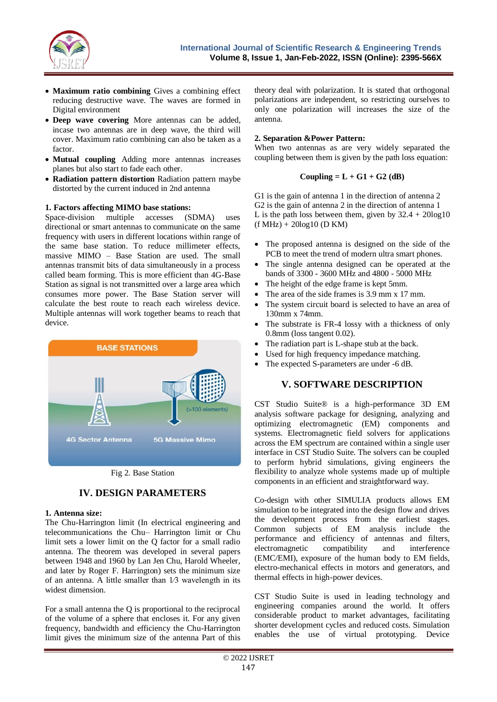

- **Maximum ratio combining** Gives a combining effect reducing destructive wave. The waves are formed in Digital environment
- **Deep wave covering** More antennas can be added, incase two antennas are in deep wave, the third will cover. Maximum ratio combining can also be taken as a factor.
- **Mutual coupling** Adding more antennas increases planes but also start to fade each other.
- **Radiation pattern distortion** Radiation pattern maybe distorted by the current induced in 2nd antenna

#### **1. Factors affecting MIMO base stations:**

Space-division multiple accesses (SDMA) uses directional or smart antennas to communicate on the same frequency with users in different locations within range of the same base station. To reduce millimeter effects, massive MIMO – Base Station are used. The small antennas transmit bits of data simultaneously in a process called beam forming. This is more efficient than 4G-Base Station as signal is not transmitted over a large area which consumes more power. The Base Station server will calculate the best route to reach each wireless device. Multiple antennas will work together beams to reach that device.





# **IV. DESIGN PARAMETERS**

#### **1. Antenna size:**

The Chu-Harrington limit (In electrical engineering and telecommunications the Chu– Harrington limit or Chu limit sets a lower limit on the Q factor for a small radio antenna. The theorem was developed in several papers between 1948 and 1960 by Lan Jen Chu, Harold Wheeler, and later by Roger F. Harrington) sets the minimum size of an antenna. A little smaller than  $1/3$  wavelength in its widest dimension.

For a small antenna the Q is proportional to the reciprocal of the volume of a sphere that encloses it. For any given frequency, bandwidth and efficiency the Chu-Harrington limit gives the minimum size of the antenna Part of this

theory deal with polarization. It is stated that orthogonal polarizations are independent, so restricting ourselves to only one polarization will increases the size of the antenna.

#### **2. Separation &Power Pattern:**

When two antennas as are very widely separated the coupling between them is given by the path loss equation:

#### **Coupling = L** + **G1** + **G2** (dB)

G1 is the gain of antenna 1 in the direction of antenna 2 G2 is the gain of antenna 2 in the direction of antenna 1 L is the path loss between them, given by  $32.4 + 20\log 10$  $(f MHz) + 20log10$  (D KM)

- The proposed antenna is designed on the side of the PCB to meet the trend of modern ultra smart phones.
- The single antenna designed can be operated at the bands of 3300 - 3600 MHz and 4800 - 5000 MHz
- The height of the edge frame is kept 5mm.
- The area of the side frames is 3.9 mm x 17 mm.
- The system circuit board is selected to have an area of 130mm x 74mm.
- The substrate is FR-4 lossy with a thickness of only 0.8mm (loss tangent 0.02).
- The radiation part is L-shape stub at the back.
- Used for high frequency impedance matching.
- The expected S-parameters are under -6 dB.

## **V. SOFTWARE DESCRIPTION**

CST Studio Suite® is a high-performance 3D EM analysis software package for designing, analyzing and optimizing electromagnetic (EM) components and systems. Electromagnetic field solvers for applications across the EM spectrum are contained within a single user interface in CST Studio Suite. The solvers can be coupled to perform hybrid simulations, giving engineers the flexibility to analyze whole systems made up of multiple components in an efficient and straightforward way.

Co-design with other SIMULIA products allows EM simulation to be integrated into the design flow and drives the development process from the earliest stages. Common subjects of EM analysis include the performance and efficiency of antennas and filters, electromagnetic compatibility and interference (EMC/EMI), exposure of the human body to EM fields, electro-mechanical effects in motors and generators, and thermal effects in high-power devices.

CST Studio Suite is used in leading technology and engineering companies around the world. It offers considerable product to market advantages, facilitating shorter development cycles and reduced costs. Simulation enables the use of virtual prototyping. Device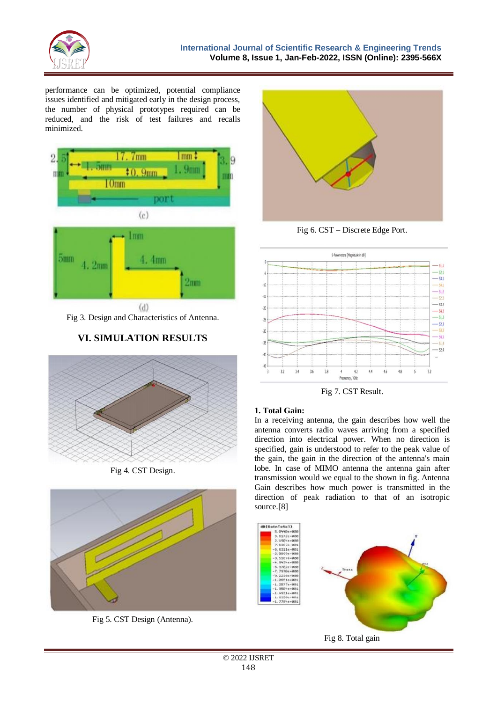

performance can be optimized, potential compliance issues identified and mitigated early in the design process, the number of physical prototypes required can be reduced, and the risk of test failures and recalls minimized.



Fig 3. Design and Characteristics of Antenna.

# **VI. SIMULATION RESULTS**







Fig 5. CST Design (Antenna).



Fig 6. CST – Discrete Edge Port.



Fig 7. CST Result.

# **1. Total Gain:**

In a receiving antenna, the gain describes how well the antenna converts radio waves arriving from a specified direction into electrical power. When no direction is specified, gain is understood to refer to the peak value of the gain, the gain in the direction of the antenna's main lobe. In case of MIMO antenna the antenna gain after transmission would we equal to the shown in fig. Antenna Gain describes how much power is transmitted in the direction of peak radiation to that of an isotropic source.[8]

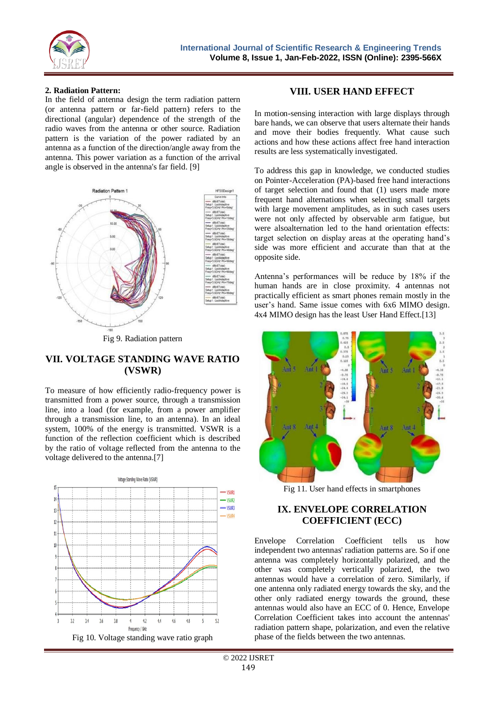

#### **2. Radiation Pattern:**

In the field of antenna design the term radiation pattern (or antenna pattern or far-field pattern) refers to the directional (angular) dependence of the strength of the radio waves from the antenna or other source. Radiation pattern is the variation of the power radiated by an antenna as a function of the direction/angle away from the antenna. This power variation as a function of the arrival angle is observed in the antenna's far field. [9]



Fig 9. Radiation pattern

# **VII. VOLTAGE STANDING WAVE RATIO (VSWR)**

To measure of how efficiently radio-frequency power is transmitted from a power source, through a transmission line, into a load (for example, from a power amplifier through a transmission line, to an antenna). In an ideal system, 100% of the energy is transmitted. VSWR is a function of the reflection coefficient which is described by the ratio of voltage reflected from the antenna to the voltage delivered to the antenna.[7]



# **VIII. USER HAND EFFECT**

In motion-sensing interaction with large displays through bare hands, we can observe that users alternate their hands and move their bodies frequently. What cause such actions and how these actions affect free hand interaction results are less systematically investigated.

To address this gap in knowledge, we conducted studies on Pointer-Acceleration (PA)-based free hand interactions of target selection and found that (1) users made more frequent hand alternations when selecting small targets with large movement amplitudes, as in such cases users were not only affected by observable arm fatigue, but were alsoalternation led to the hand orientation effects: target selection on display areas at the operating hand's side was more efficient and accurate than that at the opposite side.

Antenna's performances will be reduce by 18% if the human hands are in close proximity. 4 antennas not practically efficient as smart phones remain mostly in the user's hand. Same issue comes with 6x6 MIMO design. 4x4 MIMO design has the least User Hand Effect.[13]



Fig 11. User hand effects in smartphones

# **IX. ENVELOPE CORRELATION COEFFICIENT (ECC)**

Envelope Correlation Coefficient tells us how independent two antennas' radiation patterns are. So if one antenna was completely horizontally polarized, and the other was completely vertically polarized, the two antennas would have a correlation of zero. Similarly, if one antenna only radiated energy towards the sky, and the other only radiated energy towards the ground, these antennas would also have an ECC of 0. Hence, Envelope Correlation Coefficient takes into account the antennas' radiation pattern shape, polarization, and even the relative phase of the fields between the two antennas.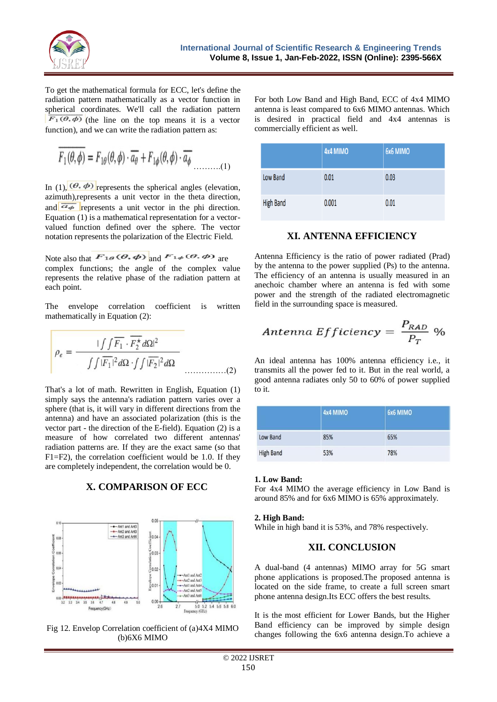

To get the mathematical formula for ECC, let's define the radiation pattern mathematically as a vector function in spherical coordinates. We'll call the radiation pattern  $\overline{F_1(\theta, \phi)}$  (the line on the top means it is a vector function), and we can write the radiation pattern as:

$$
\overline{F_1(\theta,\phi)} = F_{1\theta}(\theta,\phi) \cdot \overline{a_\theta} + F_{1\phi}(\theta,\phi) \cdot \overline{a_\phi}
$$
 (1)

In (1),  $(\theta, \phi)$  represents the spherical angles (elevation, azimuth),represents a unit vector in the theta direction, and  $\overline{a_{\phi}}$  represents a unit vector in the phi direction. Equation (1) is a mathematical representation for a vectorvalued function defined over the sphere. The vector notation represents the polarization of the Electric Field.

Note also that  $F_{1\theta}(\theta, \phi)$  and  $F_{1\phi}(\theta, \phi)$  are complex functions; the angle of the complex value represents the relative phase of the radiation pattern at each point.

The envelope correlation coefficient is written mathematically in Equation (2):

$$
\rho_e = \frac{\int \int \overline{F_1} \cdot \overline{F_2^{\star}} d\Omega^2}{\int \int |\overline{F_1}|^2 d\Omega \cdot \int \int |\overline{F_2}|^2 d\Omega}
$$
 (2)

That's a lot of math. Rewritten in English, Equation (1) simply says the antenna's radiation pattern varies over a sphere (that is, it will vary in different directions from the antenna) and have an associated polarization (this is the vector part - the direction of the E-field). Equation (2) is a measure of how correlated two different antennas' radiation patterns are. If they are the exact same (so that F1=F2), the correlation coefficient would be 1.0. If they are completely independent, the correlation would be 0.

**X. COMPARISON OF ECC**



Fig 12. Envelop Correlation coefficient of (a)4X4 MIMO (b)6X6 MIMO

For both Low Band and High Band, ECC of 4x4 MIMO antenna is least compared to 6x6 MIMO antennas. Which is desired in practical field and 4x4 antennas is commercially efficient as well.

|                  | 4x4 MIMO | 6x6 MIMO |
|------------------|----------|----------|
| Low Band         | 0.01     | 0.03     |
| <b>High Band</b> | 0.001    | 0.01     |

## **XI. ANTENNA EFFICIENCY**

Antenna Efficiency is the ratio of power radiated (Prad) by the antenna to the power supplied (Ps) to the antenna. The efficiency of an antenna is usually measured in an anechoic chamber where an antenna is fed with some power and the strength of the radiated electromagnetic field in the surrounding space is measured.

Antenna *Efficiency* = 
$$
\frac{P_{RAD}}{P_T}
$$
 %

An ideal antenna has 100% antenna efficiency i.e., it transmits all the power fed to it. But in the real world, a good antenna radiates only 50 to 60% of power supplied to it.

|                  | <b>4x4 MIMO</b> | 6x6 MIMO |  |
|------------------|-----------------|----------|--|
| Low Band         | 85%             | 65%      |  |
| <b>High Band</b> | 53%             | 78%      |  |

#### **1. Low Band:**

For 4x4 MIMO the average efficiency in Low Band is around 85% and for 6x6 MIMO is 65% approximately.

#### **2. High Band:**

While in high band it is 53%, and 78% respectively.

# **XII. CONCLUSION**

A dual-band (4 antennas) MIMO array for 5G smart phone applications is proposed.The proposed antenna is located on the side frame, to create a full screen smart phone antenna design.Its ECC offers the best results.

It is the most efficient for Lower Bands, but the Higher Band efficiency can be improved by simple design changes following the 6x6 antenna design.To achieve a